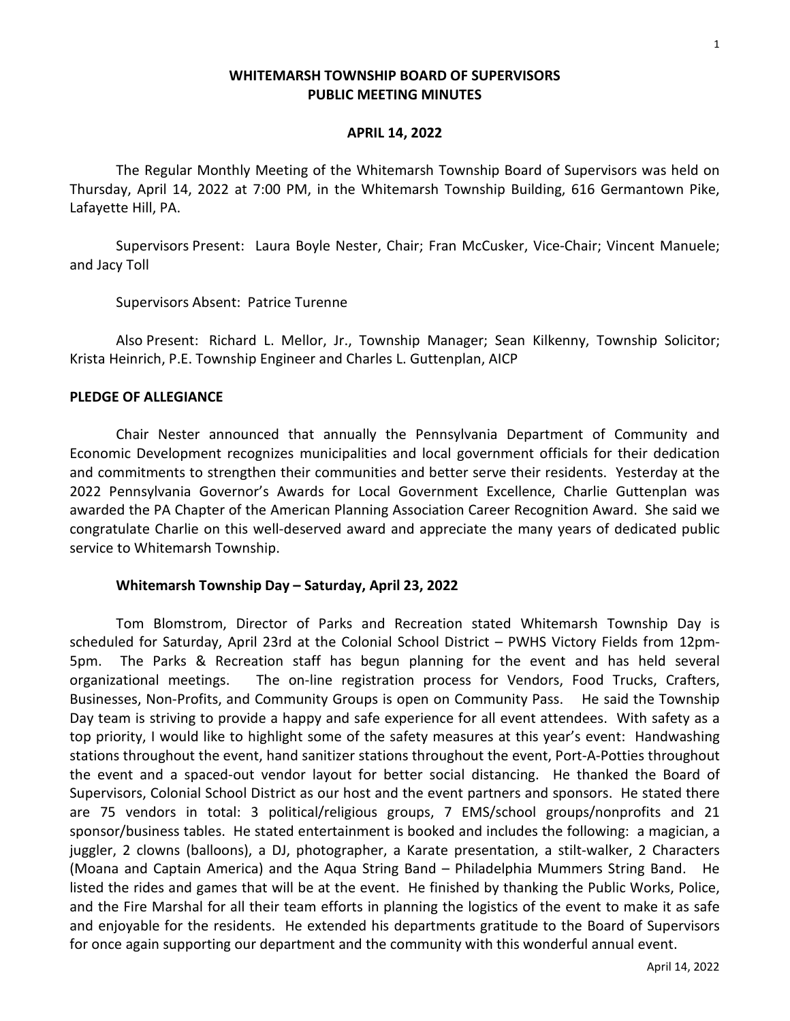### **WHITEMARSH TOWNSHIP BOARD OF SUPERVISORS PUBLIC MEETING MINUTES**

#### **APRIL 14, 2022**

The Regular Monthly Meeting of the Whitemarsh Township Board of Supervisors was held on Thursday, April 14, 2022 at 7:00 PM, in the Whitemarsh Township Building, 616 Germantown Pike, Lafayette Hill, PA.

Supervisors Present: Laura Boyle Nester, Chair; Fran McCusker, Vice-Chair; Vincent Manuele; and Jacy Toll

Supervisors Absent: Patrice Turenne

Also Present: Richard L. Mellor, Jr., Township Manager; Sean Kilkenny, Township Solicitor; Krista Heinrich, P.E. Township Engineer and Charles L. Guttenplan, AICP

#### **PLEDGE OF ALLEGIANCE**

Chair Nester announced that annually the Pennsylvania Department of Community and Economic Development recognizes municipalities and local government officials for their dedication and commitments to strengthen their communities and better serve their residents. Yesterday at the 2022 Pennsylvania Governor's Awards for Local Government Excellence, Charlie Guttenplan was awarded the PA Chapter of the American Planning Association Career Recognition Award. She said we congratulate Charlie on this well-deserved award and appreciate the many years of dedicated public service to Whitemarsh Township.

#### **Whitemarsh Township Day – Saturday, April 23, 2022**

Tom Blomstrom, Director of Parks and Recreation stated Whitemarsh Township Day is scheduled for Saturday, April 23rd at the Colonial School District – PWHS Victory Fields from 12pm-5pm. The Parks & Recreation staff has begun planning for the event and has held several organizational meetings. The on-line registration process for Vendors, Food Trucks, Crafters, Businesses, Non-Profits, and Community Groups is open on Community Pass. He said the Township Day team is striving to provide a happy and safe experience for all event attendees. With safety as a top priority, I would like to highlight some of the safety measures at this year's event: Handwashing stations throughout the event, hand sanitizer stations throughout the event, Port-A-Potties throughout the event and a spaced-out vendor layout for better social distancing. He thanked the Board of Supervisors, Colonial School District as our host and the event partners and sponsors. He stated there are 75 vendors in total: 3 political/religious groups, 7 EMS/school groups/nonprofits and 21 sponsor/business tables. He stated entertainment is booked and includes the following: a magician, a juggler, 2 clowns (balloons), a DJ, photographer, a Karate presentation, a stilt-walker, 2 Characters (Moana and Captain America) and the Aqua String Band – Philadelphia Mummers String Band. He listed the rides and games that will be at the event. He finished by thanking the Public Works, Police, and the Fire Marshal for all their team efforts in planning the logistics of the event to make it as safe and enjoyable for the residents. He extended his departments gratitude to the Board of Supervisors for once again supporting our department and the community with this wonderful annual event.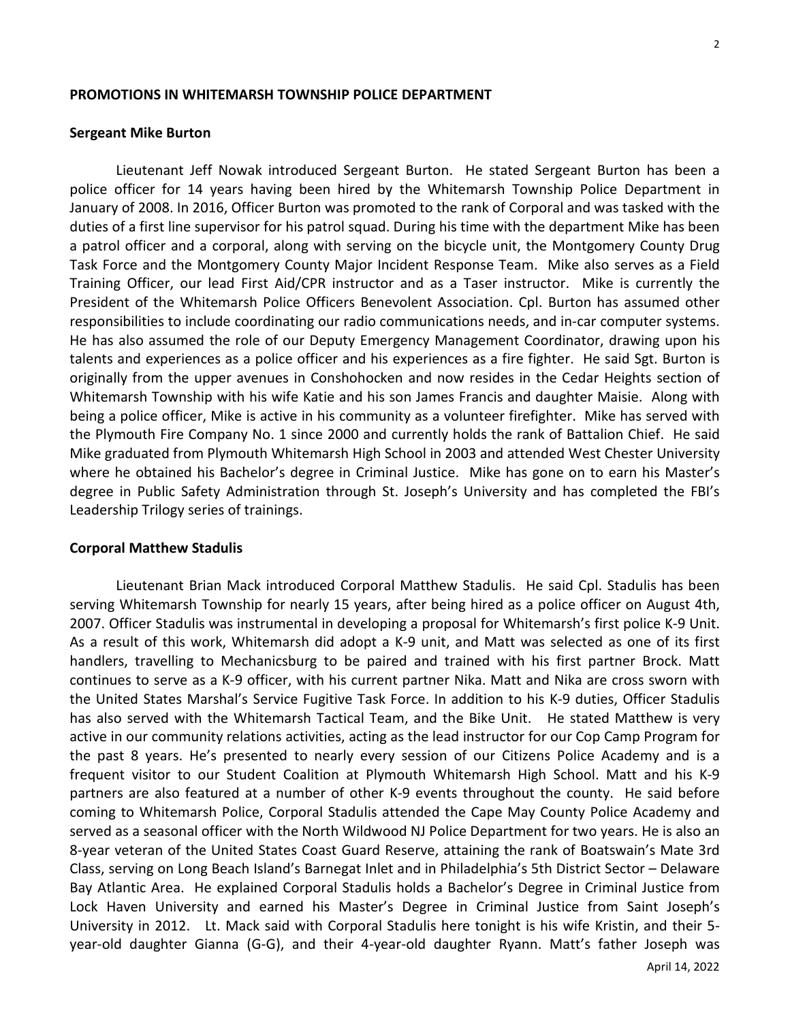#### **PROMOTIONS IN WHITEMARSH TOWNSHIP POLICE DEPARTMENT**

#### **Sergeant Mike Burton**

Lieutenant Jeff Nowak introduced Sergeant Burton. He stated Sergeant Burton has been a police officer for 14 years having been hired by the Whitemarsh Township Police Department in January of 2008. In 2016, Officer Burton was promoted to the rank of Corporal and was tasked with the duties of a first line supervisor for his patrol squad. During his time with the department Mike has been a patrol officer and a corporal, along with serving on the bicycle unit, the Montgomery County Drug Task Force and the Montgomery County Major Incident Response Team. Mike also serves as a Field Training Officer, our lead First Aid/CPR instructor and as a Taser instructor. Mike is currently the President of the Whitemarsh Police Officers Benevolent Association. Cpl. Burton has assumed other responsibilities to include coordinating our radio communications needs, and in-car computer systems. He has also assumed the role of our Deputy Emergency Management Coordinator, drawing upon his talents and experiences as a police officer and his experiences as a fire fighter. He said Sgt. Burton is originally from the upper avenues in Conshohocken and now resides in the Cedar Heights section of Whitemarsh Township with his wife Katie and his son James Francis and daughter Maisie. Along with being a police officer, Mike is active in his community as a volunteer firefighter. Mike has served with the Plymouth Fire Company No. 1 since 2000 and currently holds the rank of Battalion Chief. He said Mike graduated from Plymouth Whitemarsh High School in 2003 and attended West Chester University where he obtained his Bachelor's degree in Criminal Justice. Mike has gone on to earn his Master's degree in Public Safety Administration through St. Joseph's University and has completed the FBI's Leadership Trilogy series of trainings.

#### **Corporal Matthew Stadulis**

Lieutenant Brian Mack introduced Corporal Matthew Stadulis. He said Cpl. Stadulis has been serving Whitemarsh Township for nearly 15 years, after being hired as a police officer on August 4th, 2007. Officer Stadulis was instrumental in developing a proposal for Whitemarsh's first police K-9 Unit. As a result of this work, Whitemarsh did adopt a K-9 unit, and Matt was selected as one of its first handlers, travelling to Mechanicsburg to be paired and trained with his first partner Brock. Matt continues to serve as a K-9 officer, with his current partner Nika. Matt and Nika are cross sworn with the United States Marshal's Service Fugitive Task Force. In addition to his K-9 duties, Officer Stadulis has also served with the Whitemarsh Tactical Team, and the Bike Unit. He stated Matthew is very active in our community relations activities, acting as the lead instructor for our Cop Camp Program for the past 8 years. He's presented to nearly every session of our Citizens Police Academy and is a frequent visitor to our Student Coalition at Plymouth Whitemarsh High School. Matt and his K-9 partners are also featured at a number of other K-9 events throughout the county. He said before coming to Whitemarsh Police, Corporal Stadulis attended the Cape May County Police Academy and served as a seasonal officer with the North Wildwood NJ Police Department for two years. He is also an 8-year veteran of the United States Coast Guard Reserve, attaining the rank of Boatswain's Mate 3rd Class, serving on Long Beach Island's Barnegat Inlet and in Philadelphia's 5th District Sector – Delaware Bay Atlantic Area. He explained Corporal Stadulis holds a Bachelor's Degree in Criminal Justice from Lock Haven University and earned his Master's Degree in Criminal Justice from Saint Joseph's University in 2012. Lt. Mack said with Corporal Stadulis here tonight is his wife Kristin, and their 5 year-old daughter Gianna (G-G), and their 4-year-old daughter Ryann. Matt's father Joseph was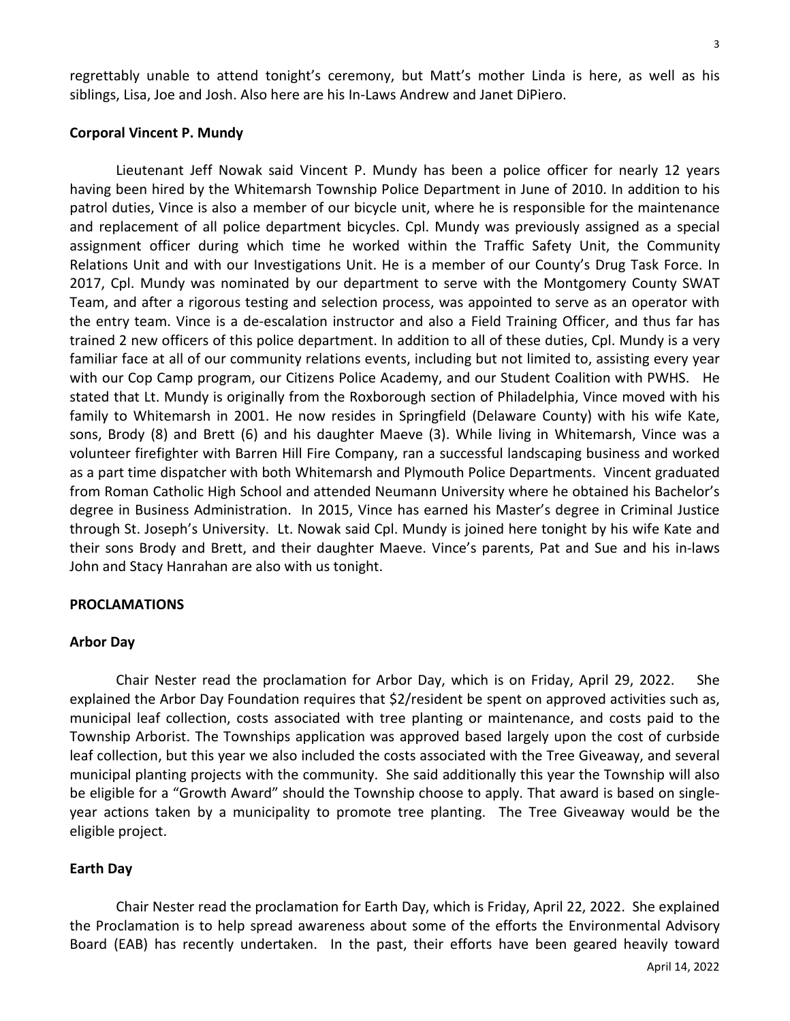regrettably unable to attend tonight's ceremony, but Matt's mother Linda is here, as well as his siblings, Lisa, Joe and Josh. Also here are his In-Laws Andrew and Janet DiPiero.

#### **Corporal Vincent P. Mundy**

Lieutenant Jeff Nowak said Vincent P. Mundy has been a police officer for nearly 12 years having been hired by the Whitemarsh Township Police Department in June of 2010. In addition to his patrol duties, Vince is also a member of our bicycle unit, where he is responsible for the maintenance and replacement of all police department bicycles. Cpl. Mundy was previously assigned as a special assignment officer during which time he worked within the Traffic Safety Unit, the Community Relations Unit and with our Investigations Unit. He is a member of our County's Drug Task Force. In 2017, Cpl. Mundy was nominated by our department to serve with the Montgomery County SWAT Team, and after a rigorous testing and selection process, was appointed to serve as an operator with the entry team. Vince is a de-escalation instructor and also a Field Training Officer, and thus far has trained 2 new officers of this police department. In addition to all of these duties, Cpl. Mundy is a very familiar face at all of our community relations events, including but not limited to, assisting every year with our Cop Camp program, our Citizens Police Academy, and our Student Coalition with PWHS. He stated that Lt. Mundy is originally from the Roxborough section of Philadelphia, Vince moved with his family to Whitemarsh in 2001. He now resides in Springfield (Delaware County) with his wife Kate, sons, Brody (8) and Brett (6) and his daughter Maeve (3). While living in Whitemarsh, Vince was a volunteer firefighter with Barren Hill Fire Company, ran a successful landscaping business and worked as a part time dispatcher with both Whitemarsh and Plymouth Police Departments. Vincent graduated from Roman Catholic High School and attended Neumann University where he obtained his Bachelor's degree in Business Administration. In 2015, Vince has earned his Master's degree in Criminal Justice through St. Joseph's University. Lt. Nowak said Cpl. Mundy is joined here tonight by his wife Kate and their sons Brody and Brett, and their daughter Maeve. Vince's parents, Pat and Sue and his in-laws John and Stacy Hanrahan are also with us tonight.

#### **PROCLAMATIONS**

#### **Arbor Day**

Chair Nester read the proclamation for Arbor Day, which is on Friday, April 29, 2022. She explained the Arbor Day Foundation requires that \$2/resident be spent on approved activities such as, municipal leaf collection, costs associated with tree planting or maintenance, and costs paid to the Township Arborist. The Townships application was approved based largely upon the cost of curbside leaf collection, but this year we also included the costs associated with the Tree Giveaway, and several municipal planting projects with the community. She said additionally this year the Township will also be eligible for a "Growth Award" should the Township choose to apply. That award is based on singleyear actions taken by a municipality to promote tree planting. The Tree Giveaway would be the eligible project.

#### **Earth Day**

Chair Nester read the proclamation for Earth Day, which is Friday, April 22, 2022. She explained the Proclamation is to help spread awareness about some of the efforts the Environmental Advisory Board (EAB) has recently undertaken. In the past, their efforts have been geared heavily toward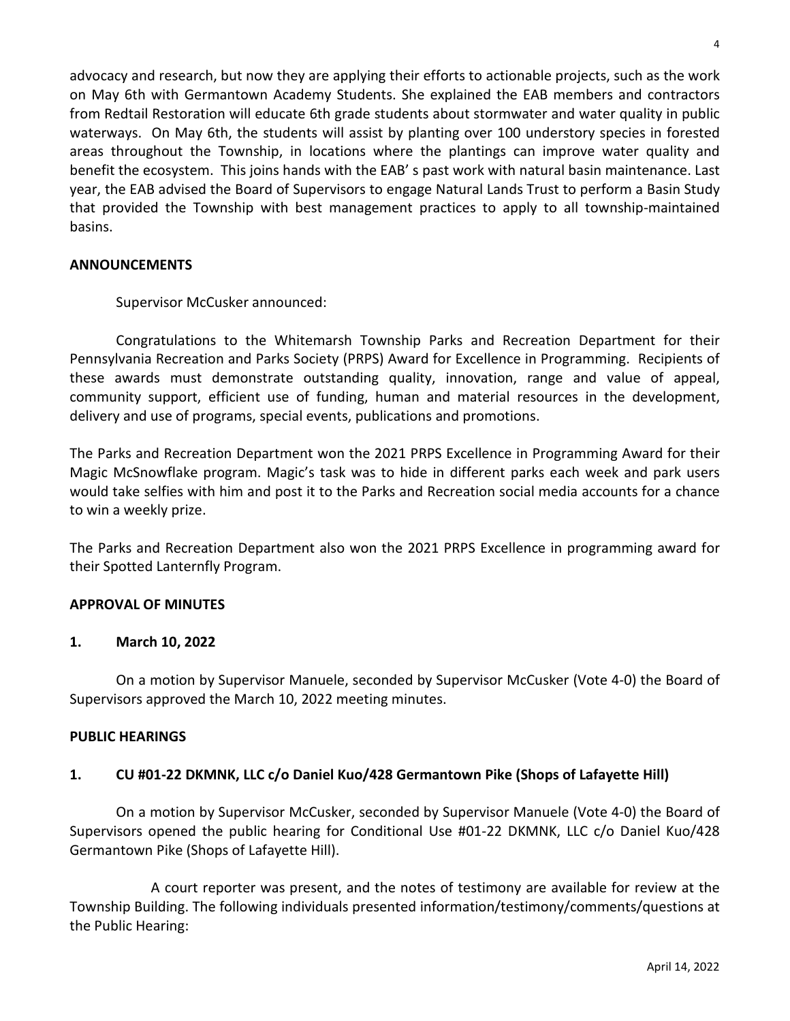advocacy and research, but now they are applying their efforts to actionable projects, such as the work on May 6th with Germantown Academy Students. She explained the EAB members and contractors from Redtail Restoration will educate 6th grade students about stormwater and water quality in public waterways. On May 6th, the students will assist by planting over 100 understory species in forested areas throughout the Township, in locations where the plantings can improve water quality and benefit the ecosystem. This joins hands with the EAB' s past work with natural basin maintenance. Last year, the EAB advised the Board of Supervisors to engage Natural Lands Trust to perform a Basin Study that provided the Township with best management practices to apply to all township-maintained basins.

## **ANNOUNCEMENTS**

Supervisor McCusker announced:

Congratulations to the Whitemarsh Township Parks and Recreation Department for their Pennsylvania Recreation and Parks Society (PRPS) Award for Excellence in Programming. Recipients of these awards must demonstrate outstanding quality, innovation, range and value of appeal, community support, efficient use of funding, human and material resources in the development, delivery and use of programs, special events, publications and promotions.

The Parks and Recreation Department won the 2021 PRPS Excellence in Programming Award for their Magic McSnowflake program. Magic's task was to hide in different parks each week and park users would take selfies with him and post it to the Parks and Recreation social media accounts for a chance to win a weekly prize.

The Parks and Recreation Department also won the 2021 PRPS Excellence in programming award for their Spotted Lanternfly Program.

## **APPROVAL OF MINUTES**

## **1. March 10, 2022**

On a motion by Supervisor Manuele, seconded by Supervisor McCusker (Vote 4-0) the Board of Supervisors approved the March 10, 2022 meeting minutes.

## **PUBLIC HEARINGS**

## **1. CU #01-22 DKMNK, LLC c/o Daniel Kuo/428 Germantown Pike (Shops of Lafayette Hill)**

On a motion by Supervisor McCusker, seconded by Supervisor Manuele (Vote 4-0) the Board of Supervisors opened the public hearing for Conditional Use #01-22 DKMNK, LLC c/o Daniel Kuo/428 Germantown Pike (Shops of Lafayette Hill).

A court reporter was present, and the notes of testimony are available for review at the Township Building. The following individuals presented information/testimony/comments/questions at the Public Hearing: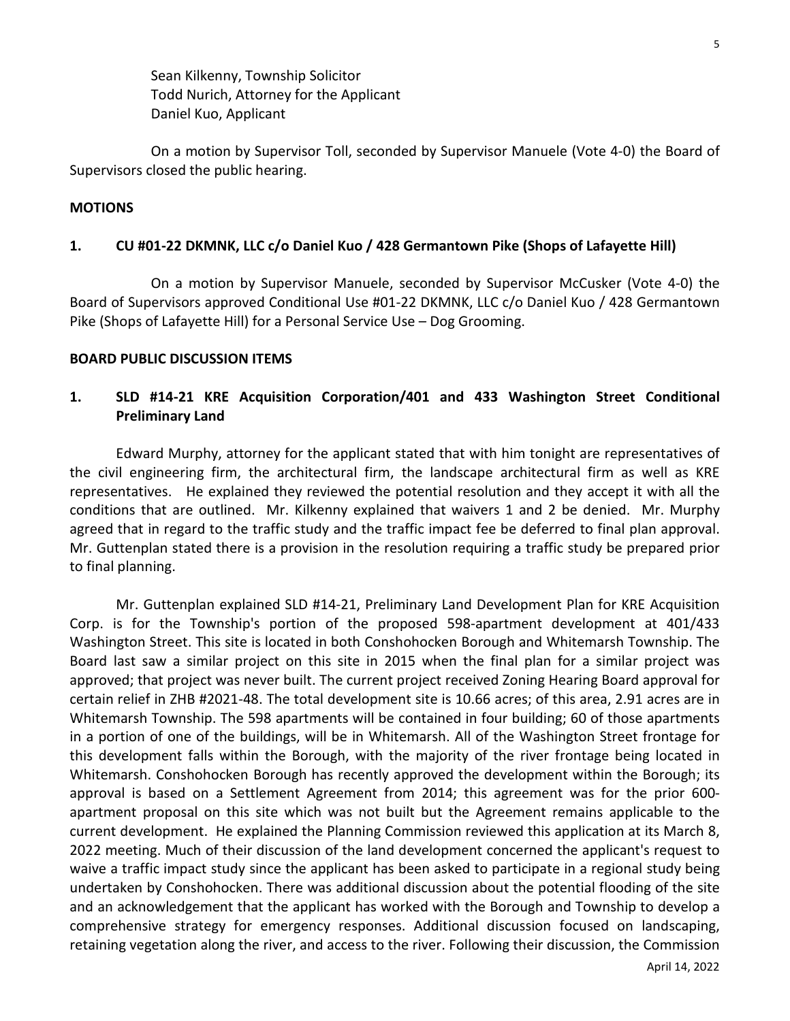Sean Kilkenny, Township Solicitor Todd Nurich, Attorney for the Applicant Daniel Kuo, Applicant

On a motion by Supervisor Toll, seconded by Supervisor Manuele (Vote 4-0) the Board of Supervisors closed the public hearing.

### **MOTIONS**

### **1. CU #01-22 DKMNK, LLC c/o Daniel Kuo / 428 Germantown Pike (Shops of Lafayette Hill)**

On a motion by Supervisor Manuele, seconded by Supervisor McCusker (Vote 4-0) the Board of Supervisors approved Conditional Use #01-22 DKMNK, LLC c/o Daniel Kuo / 428 Germantown Pike (Shops of Lafayette Hill) for a Personal Service Use – Dog Grooming.

### **BOARD PUBLIC DISCUSSION ITEMS**

# **1. SLD #14-21 KRE Acquisition Corporation/401 and 433 Washington Street Conditional Preliminary Land**

Edward Murphy, attorney for the applicant stated that with him tonight are representatives of the civil engineering firm, the architectural firm, the landscape architectural firm as well as KRE representatives. He explained they reviewed the potential resolution and they accept it with all the conditions that are outlined. Mr. Kilkenny explained that waivers 1 and 2 be denied. Mr. Murphy agreed that in regard to the traffic study and the traffic impact fee be deferred to final plan approval. Mr. Guttenplan stated there is a provision in the resolution requiring a traffic study be prepared prior to final planning.

Mr. Guttenplan explained SLD #14-21, Preliminary Land Development Plan for KRE Acquisition Corp. is for the Township's portion of the proposed 598-apartment development at 401/433 Washington Street. This site is located in both Conshohocken Borough and Whitemarsh Township. The Board last saw a similar project on this site in 2015 when the final plan for a similar project was approved; that project was never built. The current project received Zoning Hearing Board approval for certain relief in ZHB #2021-48. The total development site is 10.66 acres; of this area, 2.91 acres are in Whitemarsh Township. The 598 apartments will be contained in four building; 60 of those apartments in a portion of one of the buildings, will be in Whitemarsh. All of the Washington Street frontage for this development falls within the Borough, with the majority of the river frontage being located in Whitemarsh. Conshohocken Borough has recently approved the development within the Borough; its approval is based on a Settlement Agreement from 2014; this agreement was for the prior 600 apartment proposal on this site which was not built but the Agreement remains applicable to the current development. He explained the Planning Commission reviewed this application at its March 8, 2022 meeting. Much of their discussion of the land development concerned the applicant's request to waive a traffic impact study since the applicant has been asked to participate in a regional study being undertaken by Conshohocken. There was additional discussion about the potential flooding of the site and an acknowledgement that the applicant has worked with the Borough and Township to develop a comprehensive strategy for emergency responses. Additional discussion focused on landscaping, retaining vegetation along the river, and access to the river. Following their discussion, the Commission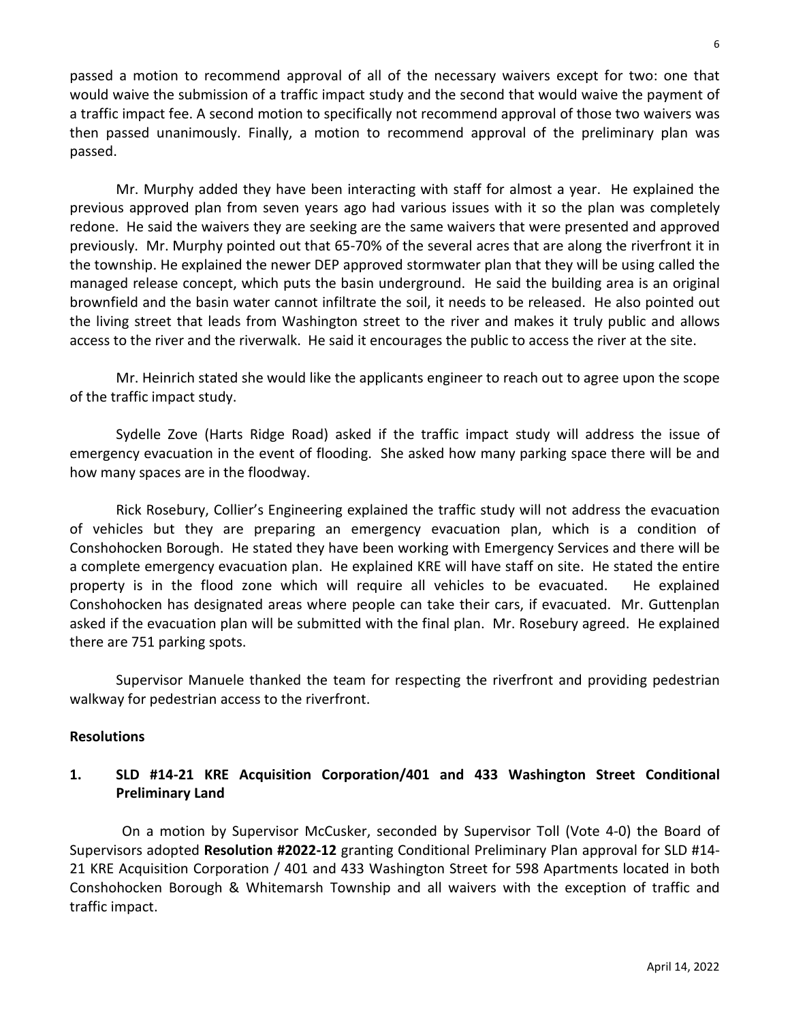passed a motion to recommend approval of all of the necessary waivers except for two: one that would waive the submission of a traffic impact study and the second that would waive the payment of a traffic impact fee. A second motion to specifically not recommend approval of those two waivers was then passed unanimously. Finally, a motion to recommend approval of the preliminary plan was passed.

Mr. Murphy added they have been interacting with staff for almost a year. He explained the previous approved plan from seven years ago had various issues with it so the plan was completely redone. He said the waivers they are seeking are the same waivers that were presented and approved previously. Mr. Murphy pointed out that 65-70% of the several acres that are along the riverfront it in the township. He explained the newer DEP approved stormwater plan that they will be using called the managed release concept, which puts the basin underground. He said the building area is an original brownfield and the basin water cannot infiltrate the soil, it needs to be released. He also pointed out the living street that leads from Washington street to the river and makes it truly public and allows access to the river and the riverwalk. He said it encourages the public to access the river at the site.

Mr. Heinrich stated she would like the applicants engineer to reach out to agree upon the scope of the traffic impact study.

Sydelle Zove (Harts Ridge Road) asked if the traffic impact study will address the issue of emergency evacuation in the event of flooding. She asked how many parking space there will be and how many spaces are in the floodway.

Rick Rosebury, Collier's Engineering explained the traffic study will not address the evacuation of vehicles but they are preparing an emergency evacuation plan, which is a condition of Conshohocken Borough. He stated they have been working with Emergency Services and there will be a complete emergency evacuation plan. He explained KRE will have staff on site. He stated the entire property is in the flood zone which will require all vehicles to be evacuated. He explained Conshohocken has designated areas where people can take their cars, if evacuated. Mr. Guttenplan asked if the evacuation plan will be submitted with the final plan. Mr. Rosebury agreed. He explained there are 751 parking spots.

Supervisor Manuele thanked the team for respecting the riverfront and providing pedestrian walkway for pedestrian access to the riverfront.

## **Resolutions**

# **1. SLD #14-21 KRE Acquisition Corporation/401 and 433 Washington Street Conditional Preliminary Land**

On a motion by Supervisor McCusker, seconded by Supervisor Toll (Vote 4-0) the Board of Supervisors adopted **Resolution #2022-12** granting Conditional Preliminary Plan approval for SLD #14- 21 KRE Acquisition Corporation / 401 and 433 Washington Street for 598 Apartments located in both Conshohocken Borough & Whitemarsh Township and all waivers with the exception of traffic and traffic impact.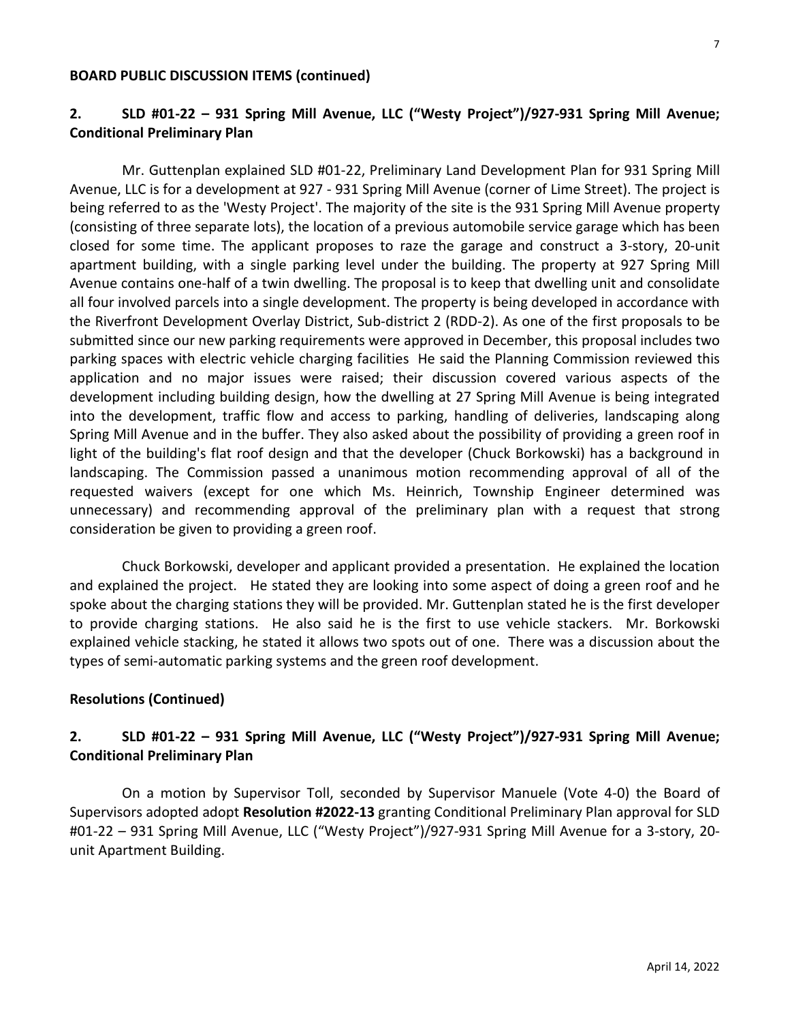#### **BOARD PUBLIC DISCUSSION ITEMS (continued)**

# **2. SLD #01-22 – 931 Spring Mill Avenue, LLC ("Westy Project")/927-931 Spring Mill Avenue; Conditional Preliminary Plan**

Mr. Guttenplan explained SLD #01-22, Preliminary Land Development Plan for 931 Spring Mill Avenue, LLC is for a development at 927 - 931 Spring Mill Avenue (corner of Lime Street). The project is being referred to as the 'Westy Project'. The majority of the site is the 931 Spring Mill Avenue property (consisting of three separate lots), the location of a previous automobile service garage which has been closed for some time. The applicant proposes to raze the garage and construct a 3-story, 20-unit apartment building, with a single parking level under the building. The property at 927 Spring Mill Avenue contains one-half of a twin dwelling. The proposal is to keep that dwelling unit and consolidate all four involved parcels into a single development. The property is being developed in accordance with the Riverfront Development Overlay District, Sub-district 2 (RDD-2). As one of the first proposals to be submitted since our new parking requirements were approved in December, this proposal includes two parking spaces with electric vehicle charging facilities He said the Planning Commission reviewed this application and no major issues were raised; their discussion covered various aspects of the development including building design, how the dwelling at 27 Spring Mill Avenue is being integrated into the development, traffic flow and access to parking, handling of deliveries, landscaping along Spring Mill Avenue and in the buffer. They also asked about the possibility of providing a green roof in light of the building's flat roof design and that the developer (Chuck Borkowski) has a background in landscaping. The Commission passed a unanimous motion recommending approval of all of the requested waivers (except for one which Ms. Heinrich, Township Engineer determined was unnecessary) and recommending approval of the preliminary plan with a request that strong consideration be given to providing a green roof.

Chuck Borkowski, developer and applicant provided a presentation. He explained the location and explained the project. He stated they are looking into some aspect of doing a green roof and he spoke about the charging stations they will be provided. Mr. Guttenplan stated he is the first developer to provide charging stations. He also said he is the first to use vehicle stackers. Mr. Borkowski explained vehicle stacking, he stated it allows two spots out of one. There was a discussion about the types of semi-automatic parking systems and the green roof development.

## **Resolutions (Continued)**

# **2. SLD #01-22 – 931 Spring Mill Avenue, LLC ("Westy Project")/927-931 Spring Mill Avenue; Conditional Preliminary Plan**

On a motion by Supervisor Toll, seconded by Supervisor Manuele (Vote 4-0) the Board of Supervisors adopted adopt **Resolution #2022-13** granting Conditional Preliminary Plan approval for SLD #01-22 – 931 Spring Mill Avenue, LLC ("Westy Project")/927-931 Spring Mill Avenue for a 3-story, 20 unit Apartment Building.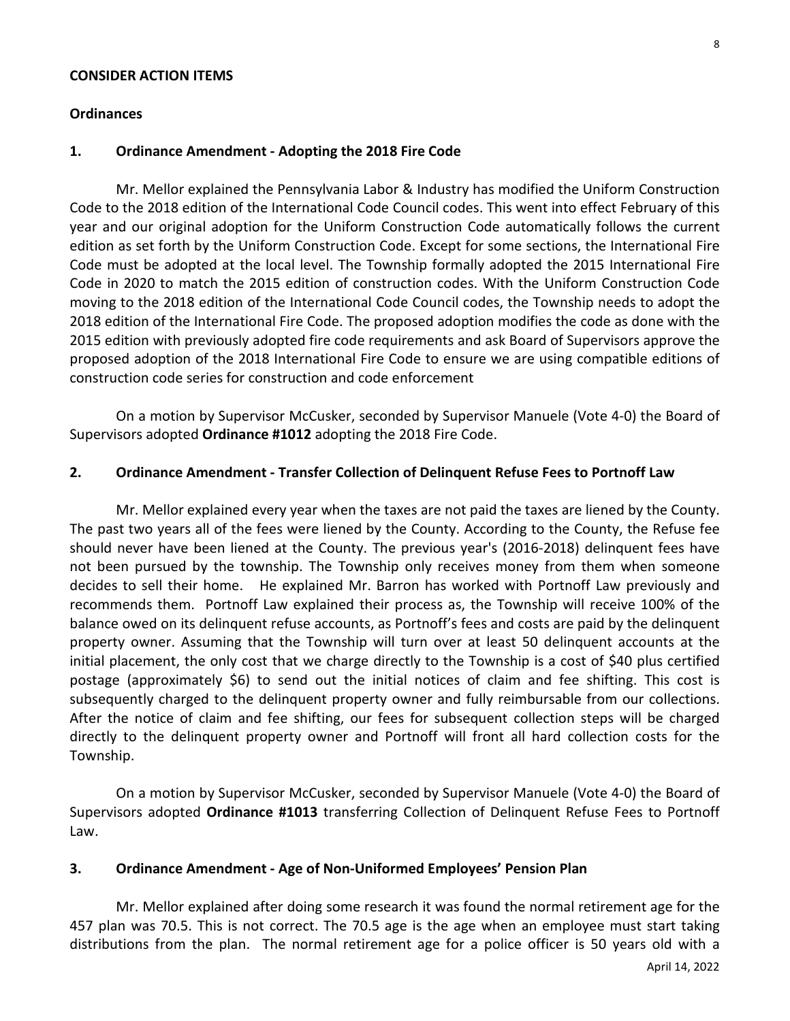#### **CONSIDER ACTION ITEMS**

### **Ordinances**

### **1. Ordinance Amendment - Adopting the 2018 Fire Code**

Mr. Mellor explained the Pennsylvania Labor & Industry has modified the Uniform Construction Code to the 2018 edition of the International Code Council codes. This went into effect February of this year and our original adoption for the Uniform Construction Code automatically follows the current edition as set forth by the Uniform Construction Code. Except for some sections, the International Fire Code must be adopted at the local level. The Township formally adopted the 2015 International Fire Code in 2020 to match the 2015 edition of construction codes. With the Uniform Construction Code moving to the 2018 edition of the International Code Council codes, the Township needs to adopt the 2018 edition of the International Fire Code. The proposed adoption modifies the code as done with the 2015 edition with previously adopted fire code requirements and ask Board of Supervisors approve the proposed adoption of the 2018 International Fire Code to ensure we are using compatible editions of construction code series for construction and code enforcement

On a motion by Supervisor McCusker, seconded by Supervisor Manuele (Vote 4-0) the Board of Supervisors adopted **Ordinance #1012** adopting the 2018 Fire Code.

### **2. Ordinance Amendment - Transfer Collection of Delinquent Refuse Fees to Portnoff Law**

Mr. Mellor explained every year when the taxes are not paid the taxes are liened by the County. The past two years all of the fees were liened by the County. According to the County, the Refuse fee should never have been liened at the County. The previous year's (2016-2018) delinquent fees have not been pursued by the township. The Township only receives money from them when someone decides to sell their home. He explained Mr. Barron has worked with Portnoff Law previously and recommends them. Portnoff Law explained their process as, the Township will receive 100% of the balance owed on its delinquent refuse accounts, as Portnoff's fees and costs are paid by the delinquent property owner. Assuming that the Township will turn over at least 50 delinquent accounts at the initial placement, the only cost that we charge directly to the Township is a cost of \$40 plus certified postage (approximately \$6) to send out the initial notices of claim and fee shifting. This cost is subsequently charged to the delinquent property owner and fully reimbursable from our collections. After the notice of claim and fee shifting, our fees for subsequent collection steps will be charged directly to the delinquent property owner and Portnoff will front all hard collection costs for the Township.

On a motion by Supervisor McCusker, seconded by Supervisor Manuele (Vote 4-0) the Board of Supervisors adopted **Ordinance #1013** transferring Collection of Delinquent Refuse Fees to Portnoff Law.

### **3. Ordinance Amendment - Age of Non-Uniformed Employees' Pension Plan**

Mr. Mellor explained after doing some research it was found the normal retirement age for the 457 plan was 70.5. This is not correct. The 70.5 age is the age when an employee must start taking distributions from the plan. The normal retirement age for a police officer is 50 years old with a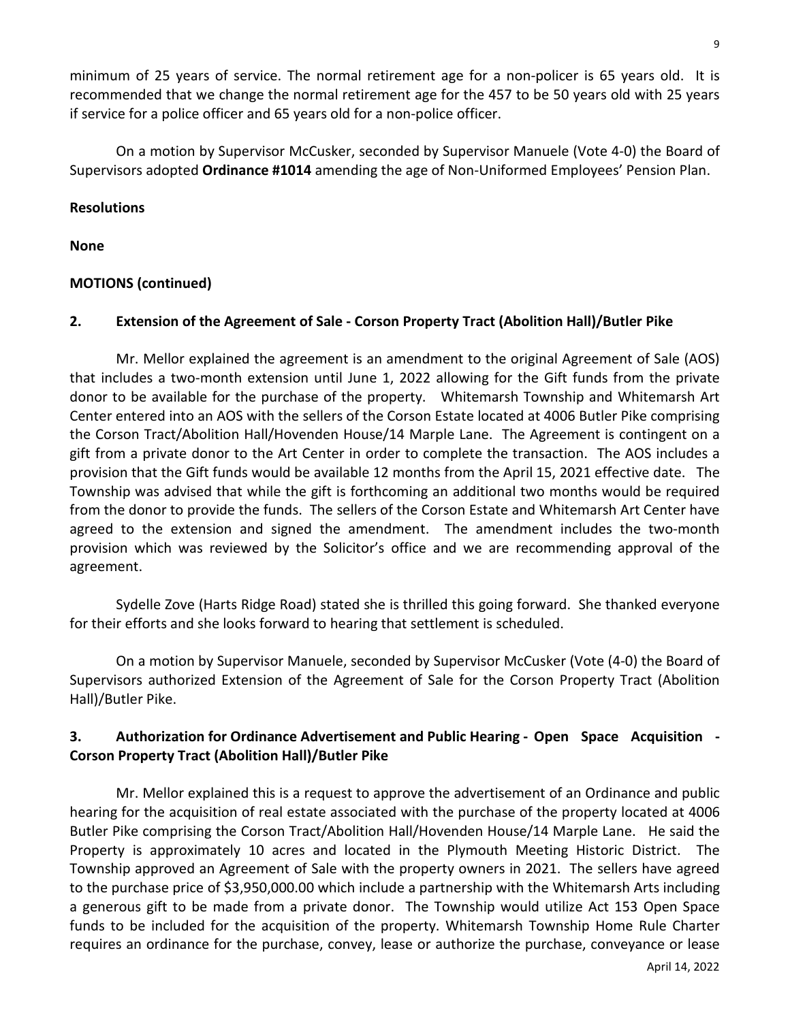minimum of 25 years of service. The normal retirement age for a non-policer is 65 years old. It is recommended that we change the normal retirement age for the 457 to be 50 years old with 25 years if service for a police officer and 65 years old for a non-police officer.

On a motion by Supervisor McCusker, seconded by Supervisor Manuele (Vote 4-0) the Board of Supervisors adopted **Ordinance #1014** amending the age of Non-Uniformed Employees' Pension Plan.

## **Resolutions**

**None**

# **MOTIONS (continued)**

## **2. Extension of the Agreement of Sale - Corson Property Tract (Abolition Hall)/Butler Pike**

Mr. Mellor explained the agreement is an amendment to the original Agreement of Sale (AOS) that includes a two-month extension until June 1, 2022 allowing for the Gift funds from the private donor to be available for the purchase of the property. Whitemarsh Township and Whitemarsh Art Center entered into an AOS with the sellers of the Corson Estate located at 4006 Butler Pike comprising the Corson Tract/Abolition Hall/Hovenden House/14 Marple Lane. The Agreement is contingent on a gift from a private donor to the Art Center in order to complete the transaction. The AOS includes a provision that the Gift funds would be available 12 months from the April 15, 2021 effective date. The Township was advised that while the gift is forthcoming an additional two months would be required from the donor to provide the funds. The sellers of the Corson Estate and Whitemarsh Art Center have agreed to the extension and signed the amendment. The amendment includes the two-month provision which was reviewed by the Solicitor's office and we are recommending approval of the agreement.

Sydelle Zove (Harts Ridge Road) stated she is thrilled this going forward. She thanked everyone for their efforts and she looks forward to hearing that settlement is scheduled.

On a motion by Supervisor Manuele, seconded by Supervisor McCusker (Vote (4-0) the Board of Supervisors authorized Extension of the Agreement of Sale for the Corson Property Tract (Abolition Hall)/Butler Pike.

# **3. Authorization for Ordinance Advertisement and Public Hearing - Open Space Acquisition - Corson Property Tract (Abolition Hall)/Butler Pike**

Mr. Mellor explained this is a request to approve the advertisement of an Ordinance and public hearing for the acquisition of real estate associated with the purchase of the property located at 4006 Butler Pike comprising the Corson Tract/Abolition Hall/Hovenden House/14 Marple Lane. He said the Property is approximately 10 acres and located in the Plymouth Meeting Historic District. The Township approved an Agreement of Sale with the property owners in 2021. The sellers have agreed to the purchase price of \$3,950,000.00 which include a partnership with the Whitemarsh Arts including a generous gift to be made from a private donor. The Township would utilize Act 153 Open Space funds to be included for the acquisition of the property. Whitemarsh Township Home Rule Charter requires an ordinance for the purchase, convey, lease or authorize the purchase, conveyance or lease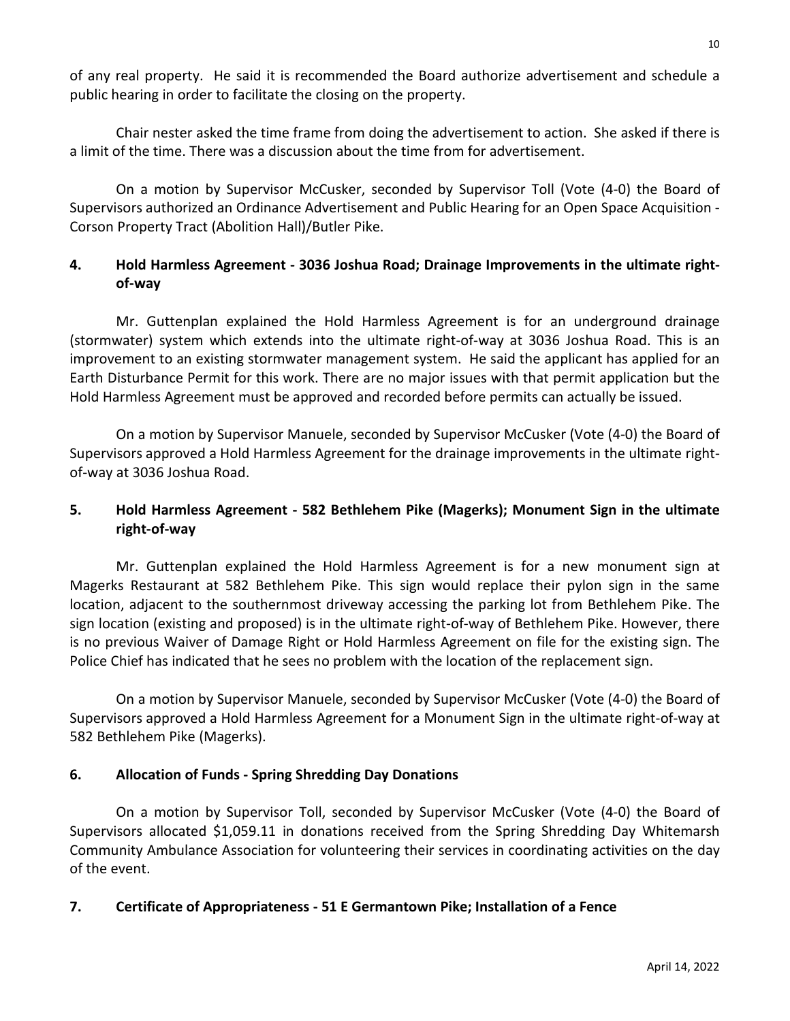of any real property. He said it is recommended the Board authorize advertisement and schedule a public hearing in order to facilitate the closing on the property.

Chair nester asked the time frame from doing the advertisement to action. She asked if there is a limit of the time. There was a discussion about the time from for advertisement.

On a motion by Supervisor McCusker, seconded by Supervisor Toll (Vote (4-0) the Board of Supervisors authorized an Ordinance Advertisement and Public Hearing for an Open Space Acquisition - Corson Property Tract (Abolition Hall)/Butler Pike.

# **4. Hold Harmless Agreement - 3036 Joshua Road; Drainage Improvements in the ultimate rightof-way**

Mr. Guttenplan explained the Hold Harmless Agreement is for an underground drainage (stormwater) system which extends into the ultimate right-of-way at 3036 Joshua Road. This is an improvement to an existing stormwater management system. He said the applicant has applied for an Earth Disturbance Permit for this work. There are no major issues with that permit application but the Hold Harmless Agreement must be approved and recorded before permits can actually be issued.

On a motion by Supervisor Manuele, seconded by Supervisor McCusker (Vote (4-0) the Board of Supervisors approved a Hold Harmless Agreement for the drainage improvements in the ultimate rightof-way at 3036 Joshua Road.

# **5. Hold Harmless Agreement - 582 Bethlehem Pike (Magerks); Monument Sign in the ultimate right-of-way**

Mr. Guttenplan explained the Hold Harmless Agreement is for a new monument sign at Magerks Restaurant at 582 Bethlehem Pike. This sign would replace their pylon sign in the same location, adjacent to the southernmost driveway accessing the parking lot from Bethlehem Pike. The sign location (existing and proposed) is in the ultimate right-of-way of Bethlehem Pike. However, there is no previous Waiver of Damage Right or Hold Harmless Agreement on file for the existing sign. The Police Chief has indicated that he sees no problem with the location of the replacement sign.

On a motion by Supervisor Manuele, seconded by Supervisor McCusker (Vote (4-0) the Board of Supervisors approved a Hold Harmless Agreement for a Monument Sign in the ultimate right-of-way at 582 Bethlehem Pike (Magerks).

# **6. Allocation of Funds - Spring Shredding Day Donations**

On a motion by Supervisor Toll, seconded by Supervisor McCusker (Vote (4-0) the Board of Supervisors allocated \$1,059.11 in donations received from the Spring Shredding Day Whitemarsh Community Ambulance Association for volunteering their services in coordinating activities on the day of the event.

# **7. Certificate of Appropriateness - 51 E Germantown Pike; Installation of a Fence**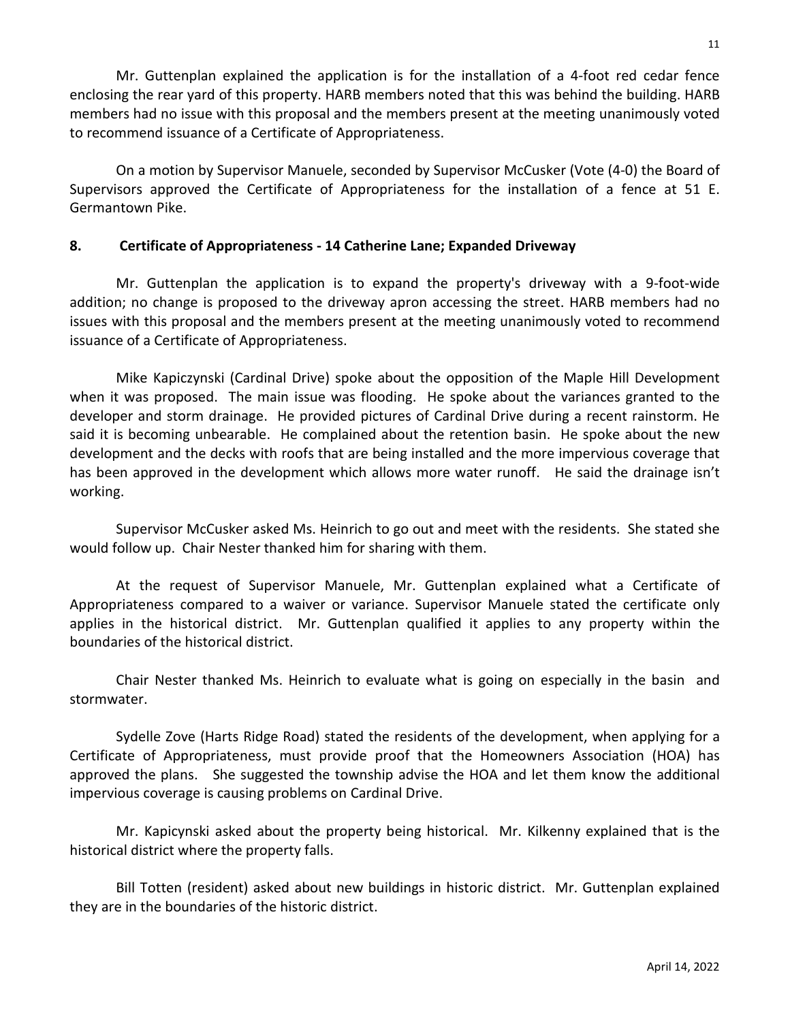Mr. Guttenplan explained the application is for the installation of a 4-foot red cedar fence enclosing the rear yard of this property. HARB members noted that this was behind the building. HARB members had no issue with this proposal and the members present at the meeting unanimously voted to recommend issuance of a Certificate of Appropriateness.

On a motion by Supervisor Manuele, seconded by Supervisor McCusker (Vote (4-0) the Board of Supervisors approved the Certificate of Appropriateness for the installation of a fence at 51 E. Germantown Pike.

## **8. Certificate of Appropriateness - 14 Catherine Lane; Expanded Driveway**

Mr. Guttenplan the application is to expand the property's driveway with a 9-foot-wide addition; no change is proposed to the driveway apron accessing the street. HARB members had no issues with this proposal and the members present at the meeting unanimously voted to recommend issuance of a Certificate of Appropriateness.

Mike Kapiczynski (Cardinal Drive) spoke about the opposition of the Maple Hill Development when it was proposed. The main issue was flooding. He spoke about the variances granted to the developer and storm drainage. He provided pictures of Cardinal Drive during a recent rainstorm. He said it is becoming unbearable. He complained about the retention basin. He spoke about the new development and the decks with roofs that are being installed and the more impervious coverage that has been approved in the development which allows more water runoff. He said the drainage isn't working.

Supervisor McCusker asked Ms. Heinrich to go out and meet with the residents. She stated she would follow up. Chair Nester thanked him for sharing with them.

At the request of Supervisor Manuele, Mr. Guttenplan explained what a Certificate of Appropriateness compared to a waiver or variance. Supervisor Manuele stated the certificate only applies in the historical district. Mr. Guttenplan qualified it applies to any property within the boundaries of the historical district.

Chair Nester thanked Ms. Heinrich to evaluate what is going on especially in the basin and stormwater.

Sydelle Zove (Harts Ridge Road) stated the residents of the development, when applying for a Certificate of Appropriateness, must provide proof that the Homeowners Association (HOA) has approved the plans. She suggested the township advise the HOA and let them know the additional impervious coverage is causing problems on Cardinal Drive.

Mr. Kapicynski asked about the property being historical. Mr. Kilkenny explained that is the historical district where the property falls.

Bill Totten (resident) asked about new buildings in historic district. Mr. Guttenplan explained they are in the boundaries of the historic district.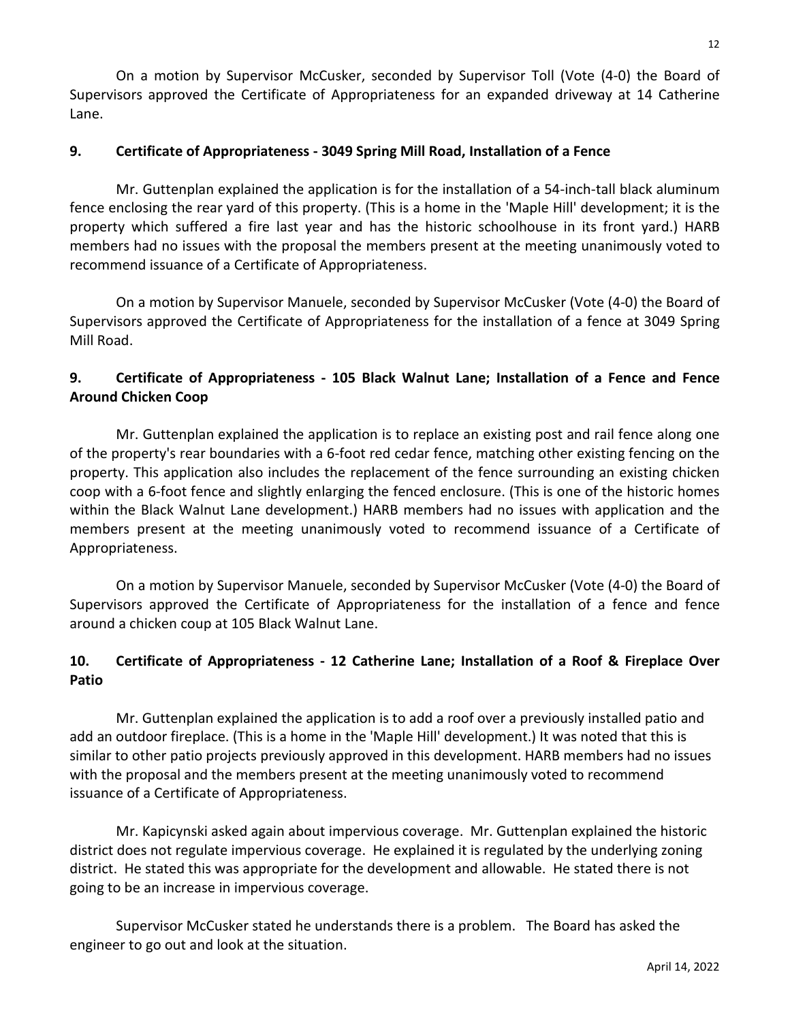On a motion by Supervisor McCusker, seconded by Supervisor Toll (Vote (4-0) the Board of Supervisors approved the Certificate of Appropriateness for an expanded driveway at 14 Catherine Lane.

## **9. Certificate of Appropriateness - 3049 Spring Mill Road, Installation of a Fence**

Mr. Guttenplan explained the application is for the installation of a 54-inch-tall black aluminum fence enclosing the rear yard of this property. (This is a home in the 'Maple Hill' development; it is the property which suffered a fire last year and has the historic schoolhouse in its front yard.) HARB members had no issues with the proposal the members present at the meeting unanimously voted to recommend issuance of a Certificate of Appropriateness.

On a motion by Supervisor Manuele, seconded by Supervisor McCusker (Vote (4-0) the Board of Supervisors approved the Certificate of Appropriateness for the installation of a fence at 3049 Spring Mill Road.

# **9. Certificate of Appropriateness - 105 Black Walnut Lane; Installation of a Fence and Fence Around Chicken Coop**

Mr. Guttenplan explained the application is to replace an existing post and rail fence along one of the property's rear boundaries with a 6-foot red cedar fence, matching other existing fencing on the property. This application also includes the replacement of the fence surrounding an existing chicken coop with a 6-foot fence and slightly enlarging the fenced enclosure. (This is one of the historic homes within the Black Walnut Lane development.) HARB members had no issues with application and the members present at the meeting unanimously voted to recommend issuance of a Certificate of Appropriateness.

On a motion by Supervisor Manuele, seconded by Supervisor McCusker (Vote (4-0) the Board of Supervisors approved the Certificate of Appropriateness for the installation of a fence and fence around a chicken coup at 105 Black Walnut Lane.

# **10. Certificate of Appropriateness - 12 Catherine Lane; Installation of a Roof & Fireplace Over Patio**

Mr. Guttenplan explained the application is to add a roof over a previously installed patio and add an outdoor fireplace. (This is a home in the 'Maple Hill' development.) It was noted that this is similar to other patio projects previously approved in this development. HARB members had no issues with the proposal and the members present at the meeting unanimously voted to recommend issuance of a Certificate of Appropriateness.

Mr. Kapicynski asked again about impervious coverage. Mr. Guttenplan explained the historic district does not regulate impervious coverage. He explained it is regulated by the underlying zoning district. He stated this was appropriate for the development and allowable. He stated there is not going to be an increase in impervious coverage.

Supervisor McCusker stated he understands there is a problem. The Board has asked the engineer to go out and look at the situation.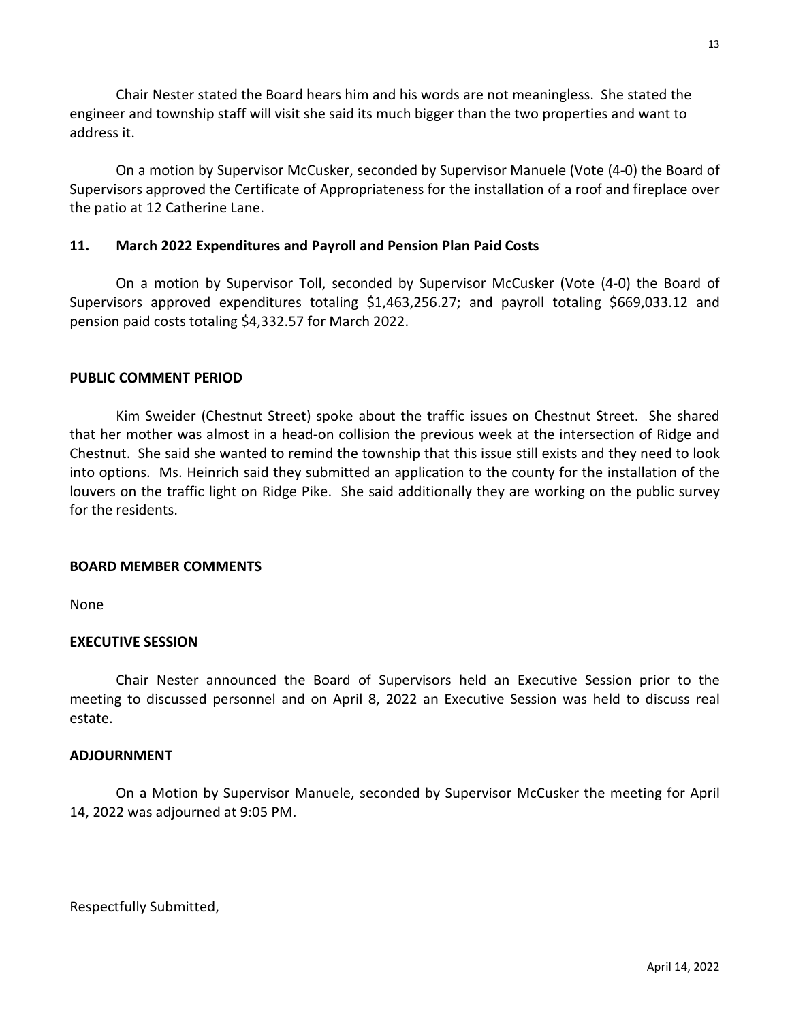Chair Nester stated the Board hears him and his words are not meaningless. She stated the engineer and township staff will visit she said its much bigger than the two properties and want to address it.

On a motion by Supervisor McCusker, seconded by Supervisor Manuele (Vote (4-0) the Board of Supervisors approved the Certificate of Appropriateness for the installation of a roof and fireplace over the patio at 12 Catherine Lane.

### **11. March 2022 Expenditures and Payroll and Pension Plan Paid Costs**

On a motion by Supervisor Toll, seconded by Supervisor McCusker (Vote (4-0) the Board of Supervisors approved expenditures totaling \$1,463,256.27; and payroll totaling \$669,033.12 and pension paid costs totaling \$4,332.57 for March 2022.

### **PUBLIC COMMENT PERIOD**

Kim Sweider (Chestnut Street) spoke about the traffic issues on Chestnut Street. She shared that her mother was almost in a head-on collision the previous week at the intersection of Ridge and Chestnut. She said she wanted to remind the township that this issue still exists and they need to look into options. Ms. Heinrich said they submitted an application to the county for the installation of the louvers on the traffic light on Ridge Pike. She said additionally they are working on the public survey for the residents.

### **BOARD MEMBER COMMENTS**

None

### **EXECUTIVE SESSION**

Chair Nester announced the Board of Supervisors held an Executive Session prior to the meeting to discussed personnel and on April 8, 2022 an Executive Session was held to discuss real estate.

### **ADJOURNMENT**

On a Motion by Supervisor Manuele, seconded by Supervisor McCusker the meeting for April 14, 2022 was adjourned at 9:05 PM.

Respectfully Submitted,